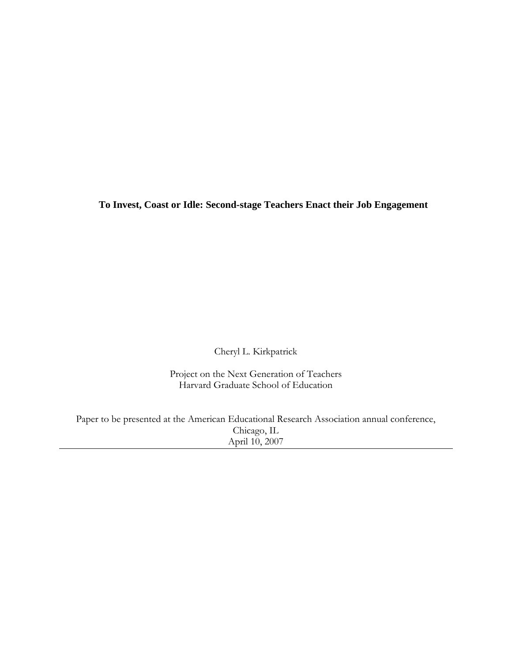**To Invest, Coast or Idle: Second-stage Teachers Enact their Job Engagement** 

Cheryl L. Kirkpatrick

Project on the Next Generation of Teachers Harvard Graduate School of Education

Paper to be presented at the American Educational Research Association annual conference, Chicago, IL April 10, 2007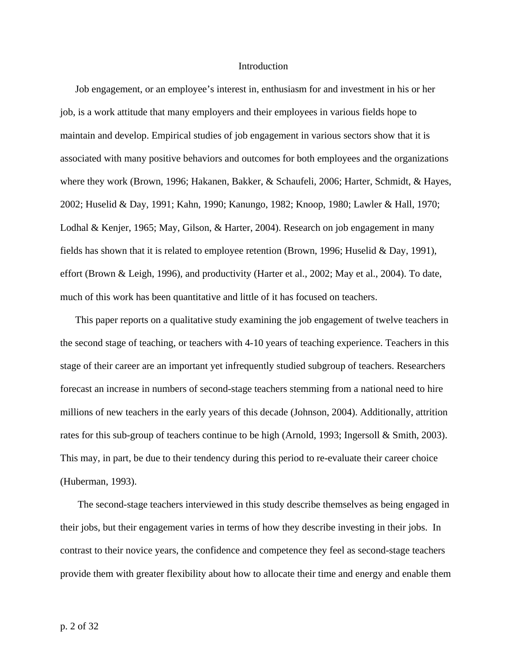## Introduction

Job engagement, or an employee's interest in, enthusiasm for and investment in his or her job, is a work attitude that many employers and their employees in various fields hope to maintain and develop. Empirical studies of job engagement in various sectors show that it is associated with many positive behaviors and outcomes for both employees and the organizations where they work (Brown, 1996; Hakanen, Bakker, & Schaufeli, 2006; Harter, Schmidt, & Hayes, 2002; Huselid & Day, 1991; Kahn, 1990; Kanungo, 1982; Knoop, 1980; Lawler & Hall, 1970; Lodhal & Kenjer, 1965; May, Gilson, & Harter, 2004). Research on job engagement in many fields has shown that it is related to employee retention (Brown, 1996; Huselid & Day, 1991), effort (Brown & Leigh, 1996), and productivity (Harter et al., 2002; May et al., 2004). To date, much of this work has been quantitative and little of it has focused on teachers.

This paper reports on a qualitative study examining the job engagement of twelve teachers in the second stage of teaching, or teachers with 4-10 years of teaching experience. Teachers in this stage of their career are an important yet infrequently studied subgroup of teachers. Researchers forecast an increase in numbers of second-stage teachers stemming from a national need to hire millions of new teachers in the early years of this decade (Johnson, 2004). Additionally, attrition rates for this sub-group of teachers continue to be high (Arnold, 1993; Ingersoll & Smith, 2003). This may, in part, be due to their tendency during this period to re-evaluate their career choice (Huberman, 1993).

 The second-stage teachers interviewed in this study describe themselves as being engaged in their jobs, but their engagement varies in terms of how they describe investing in their jobs. In contrast to their novice years, the confidence and competence they feel as second-stage teachers provide them with greater flexibility about how to allocate their time and energy and enable them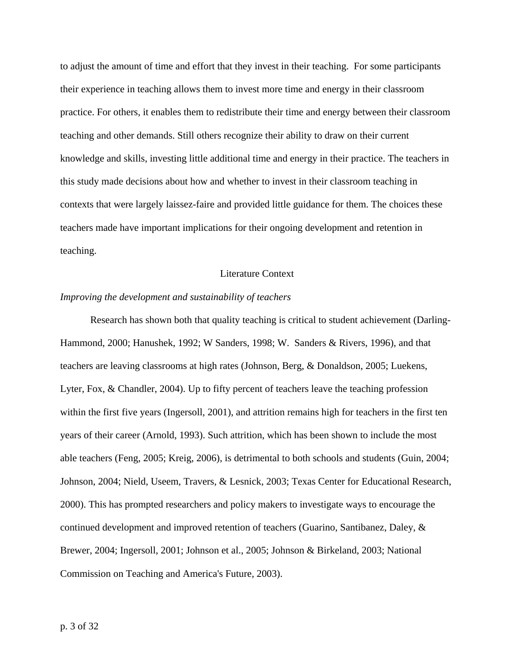to adjust the amount of time and effort that they invest in their teaching. For some participants their experience in teaching allows them to invest more time and energy in their classroom practice. For others, it enables them to redistribute their time and energy between their classroom teaching and other demands. Still others recognize their ability to draw on their current knowledge and skills, investing little additional time and energy in their practice. The teachers in this study made decisions about how and whether to invest in their classroom teaching in contexts that were largely laissez-faire and provided little guidance for them. The choices these teachers made have important implications for their ongoing development and retention in teaching.

## Literature Context

#### *Improving the development and sustainability of teachers*

 Research has shown both that quality teaching is critical to student achievement (Darling-Hammond, 2000; Hanushek, 1992; W Sanders, 1998; W. Sanders & Rivers, 1996), and that teachers are leaving classrooms at high rates (Johnson, Berg, & Donaldson, 2005; Luekens, Lyter, Fox, & Chandler, 2004). Up to fifty percent of teachers leave the teaching profession within the first five years (Ingersoll, 2001), and attrition remains high for teachers in the first ten years of their career (Arnold, 1993). Such attrition, which has been shown to include the most able teachers (Feng, 2005; Kreig, 2006), is detrimental to both schools and students (Guin, 2004; Johnson, 2004; Nield, Useem, Travers, & Lesnick, 2003; Texas Center for Educational Research, 2000). This has prompted researchers and policy makers to investigate ways to encourage the continued development and improved retention of teachers (Guarino, Santibanez, Daley, & Brewer, 2004; Ingersoll, 2001; Johnson et al., 2005; Johnson & Birkeland, 2003; National Commission on Teaching and America's Future, 2003).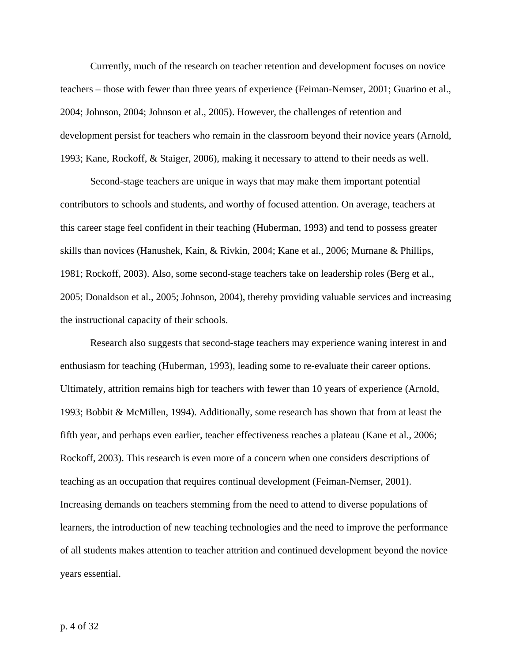Currently, much of the research on teacher retention and development focuses on novice teachers – those with fewer than three years of experience (Feiman-Nemser, 2001; Guarino et al., 2004; Johnson, 2004; Johnson et al., 2005). However, the challenges of retention and development persist for teachers who remain in the classroom beyond their novice years (Arnold, 1993; Kane, Rockoff, & Staiger, 2006), making it necessary to attend to their needs as well.

Second-stage teachers are unique in ways that may make them important potential contributors to schools and students, and worthy of focused attention. On average, teachers at this career stage feel confident in their teaching (Huberman, 1993) and tend to possess greater skills than novices (Hanushek, Kain, & Rivkin, 2004; Kane et al., 2006; Murnane & Phillips, 1981; Rockoff, 2003). Also, some second-stage teachers take on leadership roles (Berg et al., 2005; Donaldson et al., 2005; Johnson, 2004), thereby providing valuable services and increasing the instructional capacity of their schools.

Research also suggests that second-stage teachers may experience waning interest in and enthusiasm for teaching (Huberman, 1993), leading some to re-evaluate their career options. Ultimately, attrition remains high for teachers with fewer than 10 years of experience (Arnold, 1993; Bobbit & McMillen, 1994). Additionally, some research has shown that from at least the fifth year, and perhaps even earlier, teacher effectiveness reaches a plateau (Kane et al., 2006; Rockoff, 2003). This research is even more of a concern when one considers descriptions of teaching as an occupation that requires continual development (Feiman-Nemser, 2001). Increasing demands on teachers stemming from the need to attend to diverse populations of learners, the introduction of new teaching technologies and the need to improve the performance of all students makes attention to teacher attrition and continued development beyond the novice years essential.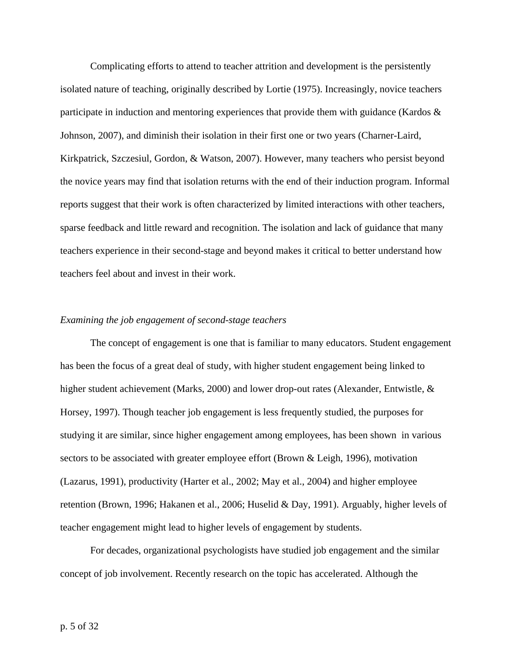Complicating efforts to attend to teacher attrition and development is the persistently isolated nature of teaching, originally described by Lortie (1975). Increasingly, novice teachers participate in induction and mentoring experiences that provide them with guidance (Kardos & Johnson, 2007), and diminish their isolation in their first one or two years (Charner-Laird, Kirkpatrick, Szczesiul, Gordon, & Watson, 2007). However, many teachers who persist beyond the novice years may find that isolation returns with the end of their induction program. Informal reports suggest that their work is often characterized by limited interactions with other teachers, sparse feedback and little reward and recognition. The isolation and lack of guidance that many teachers experience in their second-stage and beyond makes it critical to better understand how teachers feel about and invest in their work.

# *Examining the job engagement of second-stage teachers*

The concept of engagement is one that is familiar to many educators. Student engagement has been the focus of a great deal of study, with higher student engagement being linked to higher student achievement (Marks, 2000) and lower drop-out rates (Alexander, Entwistle, & Horsey, 1997). Though teacher job engagement is less frequently studied, the purposes for studying it are similar, since higher engagement among employees, has been shown in various sectors to be associated with greater employee effort (Brown & Leigh, 1996), motivation (Lazarus, 1991), productivity (Harter et al., 2002; May et al., 2004) and higher employee retention (Brown, 1996; Hakanen et al., 2006; Huselid & Day, 1991). Arguably, higher levels of teacher engagement might lead to higher levels of engagement by students.

For decades, organizational psychologists have studied job engagement and the similar concept of job involvement. Recently research on the topic has accelerated. Although the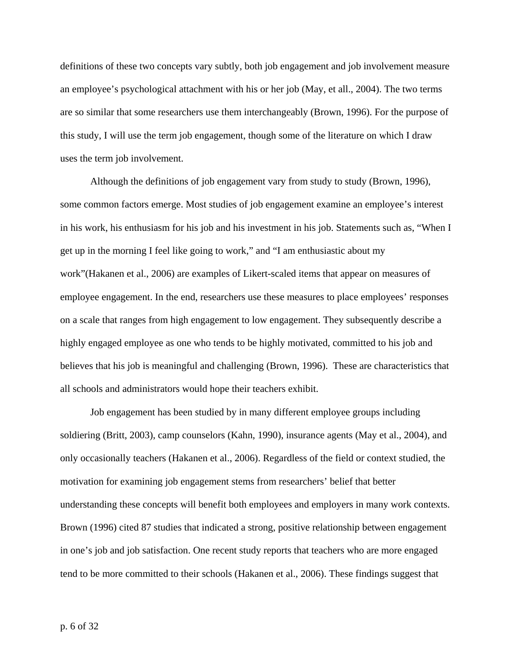definitions of these two concepts vary subtly, both job engagement and job involvement measure an employee's psychological attachment with his or her job (May, et all., 2004). The two terms are so similar that some researchers use them interchangeably (Brown, 1996). For the purpose of this study, I will use the term job engagement, though some of the literature on which I draw uses the term job involvement.

Although the definitions of job engagement vary from study to study (Brown, 1996), some common factors emerge. Most studies of job engagement examine an employee's interest in his work, his enthusiasm for his job and his investment in his job. Statements such as, "When I get up in the morning I feel like going to work," and "I am enthusiastic about my work"(Hakanen et al., 2006) are examples of Likert-scaled items that appear on measures of employee engagement. In the end, researchers use these measures to place employees' responses on a scale that ranges from high engagement to low engagement. They subsequently describe a highly engaged employee as one who tends to be highly motivated, committed to his job and believes that his job is meaningful and challenging (Brown, 1996). These are characteristics that all schools and administrators would hope their teachers exhibit.

Job engagement has been studied by in many different employee groups including soldiering (Britt, 2003), camp counselors (Kahn, 1990), insurance agents (May et al., 2004), and only occasionally teachers (Hakanen et al., 2006). Regardless of the field or context studied, the motivation for examining job engagement stems from researchers' belief that better understanding these concepts will benefit both employees and employers in many work contexts. Brown (1996) cited 87 studies that indicated a strong, positive relationship between engagement in one's job and job satisfaction. One recent study reports that teachers who are more engaged tend to be more committed to their schools (Hakanen et al., 2006). These findings suggest that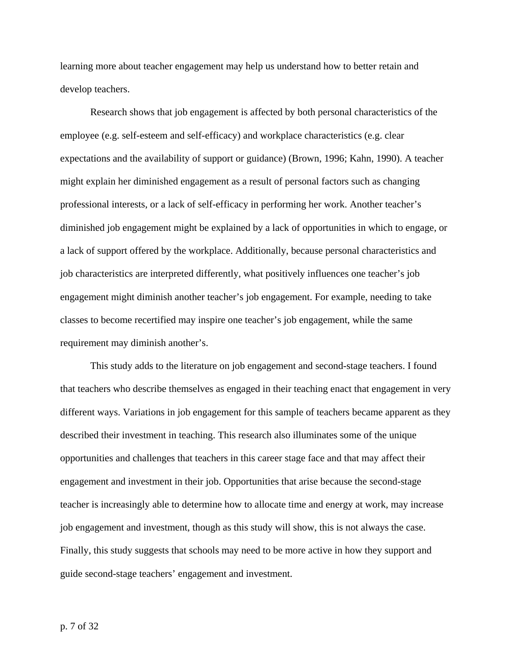learning more about teacher engagement may help us understand how to better retain and develop teachers.

Research shows that job engagement is affected by both personal characteristics of the employee (e.g. self-esteem and self-efficacy) and workplace characteristics (e.g. clear expectations and the availability of support or guidance) (Brown, 1996; Kahn, 1990). A teacher might explain her diminished engagement as a result of personal factors such as changing professional interests, or a lack of self-efficacy in performing her work. Another teacher's diminished job engagement might be explained by a lack of opportunities in which to engage, or a lack of support offered by the workplace. Additionally, because personal characteristics and job characteristics are interpreted differently, what positively influences one teacher's job engagement might diminish another teacher's job engagement. For example, needing to take classes to become recertified may inspire one teacher's job engagement, while the same requirement may diminish another's.

This study adds to the literature on job engagement and second-stage teachers. I found that teachers who describe themselves as engaged in their teaching enact that engagement in very different ways. Variations in job engagement for this sample of teachers became apparent as they described their investment in teaching. This research also illuminates some of the unique opportunities and challenges that teachers in this career stage face and that may affect their engagement and investment in their job. Opportunities that arise because the second-stage teacher is increasingly able to determine how to allocate time and energy at work, may increase job engagement and investment, though as this study will show, this is not always the case. Finally, this study suggests that schools may need to be more active in how they support and guide second-stage teachers' engagement and investment.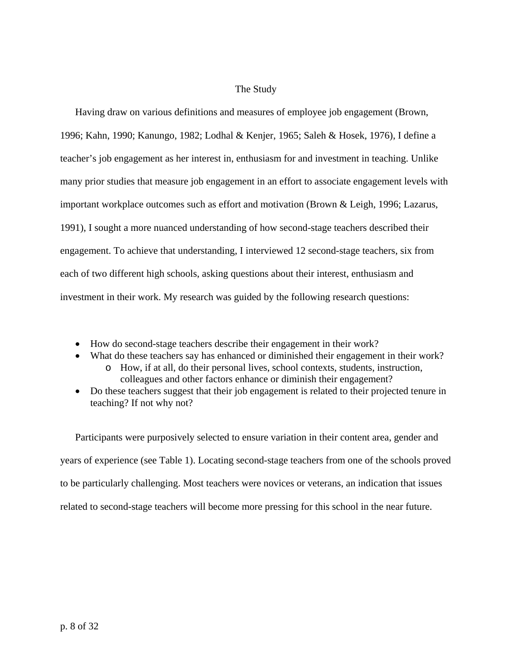# The Study

Having draw on various definitions and measures of employee job engagement (Brown, 1996; Kahn, 1990; Kanungo, 1982; Lodhal & Kenjer, 1965; Saleh & Hosek, 1976), I define a teacher's job engagement as her interest in, enthusiasm for and investment in teaching. Unlike many prior studies that measure job engagement in an effort to associate engagement levels with important workplace outcomes such as effort and motivation (Brown & Leigh, 1996; Lazarus, 1991), I sought a more nuanced understanding of how second-stage teachers described their engagement. To achieve that understanding, I interviewed 12 second-stage teachers, six from each of two different high schools, asking questions about their interest, enthusiasm and investment in their work. My research was guided by the following research questions:

- How do second-stage teachers describe their engagement in their work?
- What do these teachers say has enhanced or diminished their engagement in their work?
	- o How, if at all, do their personal lives, school contexts, students, instruction, colleagues and other factors enhance or diminish their engagement?
- Do these teachers suggest that their job engagement is related to their projected tenure in teaching? If not why not?

Participants were purposively selected to ensure variation in their content area, gender and years of experience (see Table 1). Locating second-stage teachers from one of the schools proved to be particularly challenging. Most teachers were novices or veterans, an indication that issues related to second-stage teachers will become more pressing for this school in the near future.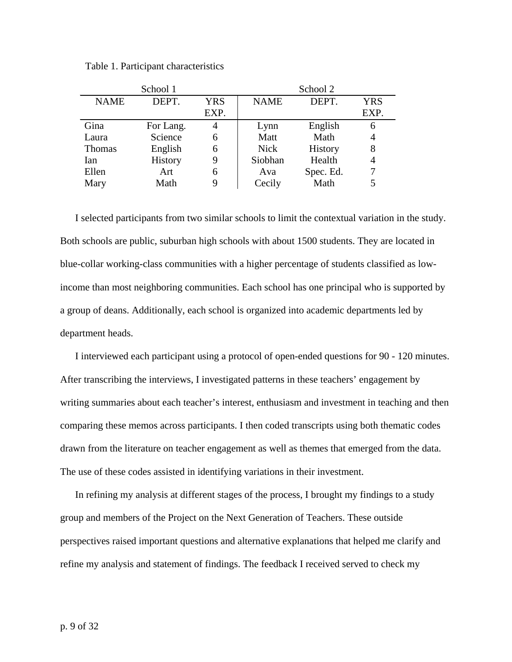| Table 1. Participant characteristics |  |
|--------------------------------------|--|
|--------------------------------------|--|

| School 1    |           |            | School 2    |           |            |
|-------------|-----------|------------|-------------|-----------|------------|
| <b>NAME</b> | DEPT.     | <b>YRS</b> | <b>NAME</b> | DEPT.     | <b>YRS</b> |
|             |           | EXP.       |             |           | EXP.       |
| Gina        | For Lang. | 4          | Lynn        | English   | 6          |
| Laura       | Science   | 6          | Matt        | Math      | 4          |
| Thomas      | English   | 6          | <b>Nick</b> | History   | 8          |
| Ian         | History   | 9          | Siobhan     | Health    | 4          |
| Ellen       | Art       | 6          | Ava         | Spec. Ed. |            |
| Mary        | Math      | 9          | Cecily      | Math      |            |

I selected participants from two similar schools to limit the contextual variation in the study. Both schools are public, suburban high schools with about 1500 students. They are located in blue-collar working-class communities with a higher percentage of students classified as lowincome than most neighboring communities. Each school has one principal who is supported by a group of deans. Additionally, each school is organized into academic departments led by department heads.

I interviewed each participant using a protocol of open-ended questions for 90 - 120 minutes. After transcribing the interviews, I investigated patterns in these teachers' engagement by writing summaries about each teacher's interest, enthusiasm and investment in teaching and then comparing these memos across participants. I then coded transcripts using both thematic codes drawn from the literature on teacher engagement as well as themes that emerged from the data. The use of these codes assisted in identifying variations in their investment.

In refining my analysis at different stages of the process, I brought my findings to a study group and members of the Project on the Next Generation of Teachers. These outside perspectives raised important questions and alternative explanations that helped me clarify and refine my analysis and statement of findings. The feedback I received served to check my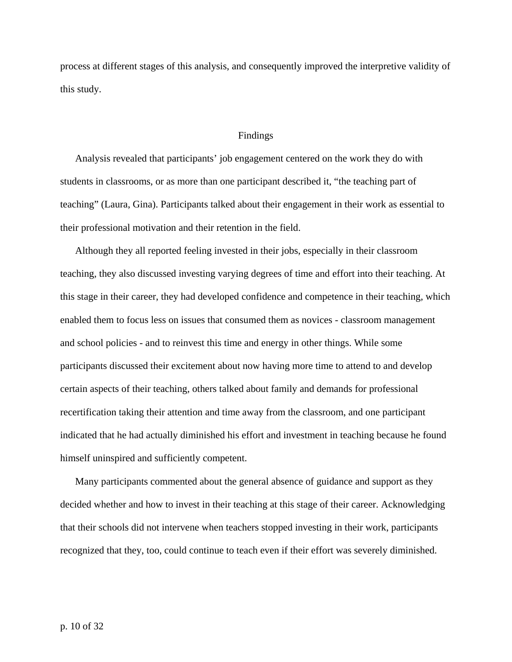process at different stages of this analysis, and consequently improved the interpretive validity of this study.

## Findings

Analysis revealed that participants' job engagement centered on the work they do with students in classrooms, or as more than one participant described it, "the teaching part of teaching" (Laura, Gina). Participants talked about their engagement in their work as essential to their professional motivation and their retention in the field.

Although they all reported feeling invested in their jobs, especially in their classroom teaching, they also discussed investing varying degrees of time and effort into their teaching. At this stage in their career, they had developed confidence and competence in their teaching, which enabled them to focus less on issues that consumed them as novices - classroom management and school policies - and to reinvest this time and energy in other things. While some participants discussed their excitement about now having more time to attend to and develop certain aspects of their teaching, others talked about family and demands for professional recertification taking their attention and time away from the classroom, and one participant indicated that he had actually diminished his effort and investment in teaching because he found himself uninspired and sufficiently competent.

Many participants commented about the general absence of guidance and support as they decided whether and how to invest in their teaching at this stage of their career. Acknowledging that their schools did not intervene when teachers stopped investing in their work, participants recognized that they, too, could continue to teach even if their effort was severely diminished.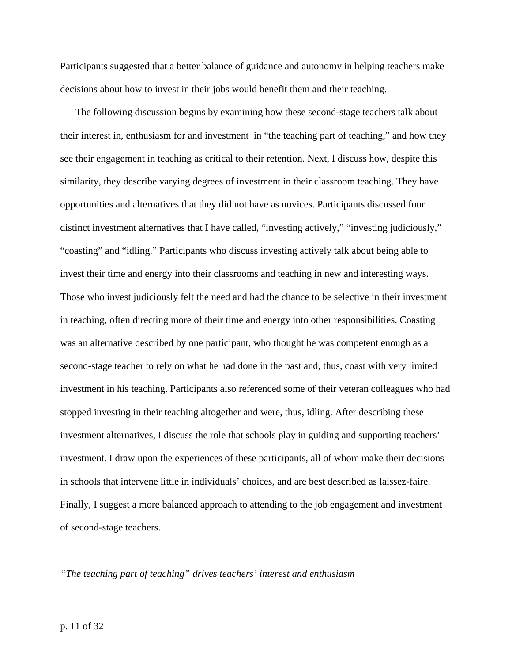Participants suggested that a better balance of guidance and autonomy in helping teachers make decisions about how to invest in their jobs would benefit them and their teaching.

The following discussion begins by examining how these second-stage teachers talk about their interest in, enthusiasm for and investment in "the teaching part of teaching," and how they see their engagement in teaching as critical to their retention. Next, I discuss how, despite this similarity, they describe varying degrees of investment in their classroom teaching. They have opportunities and alternatives that they did not have as novices. Participants discussed four distinct investment alternatives that I have called, "investing actively," "investing judiciously," "coasting" and "idling." Participants who discuss investing actively talk about being able to invest their time and energy into their classrooms and teaching in new and interesting ways. Those who invest judiciously felt the need and had the chance to be selective in their investment in teaching, often directing more of their time and energy into other responsibilities. Coasting was an alternative described by one participant, who thought he was competent enough as a second-stage teacher to rely on what he had done in the past and, thus, coast with very limited investment in his teaching. Participants also referenced some of their veteran colleagues who had stopped investing in their teaching altogether and were, thus, idling. After describing these investment alternatives, I discuss the role that schools play in guiding and supporting teachers' investment. I draw upon the experiences of these participants, all of whom make their decisions in schools that intervene little in individuals' choices, and are best described as laissez-faire. Finally, I suggest a more balanced approach to attending to the job engagement and investment of second-stage teachers.

*"The teaching part of teaching" drives teachers' interest and enthusiasm*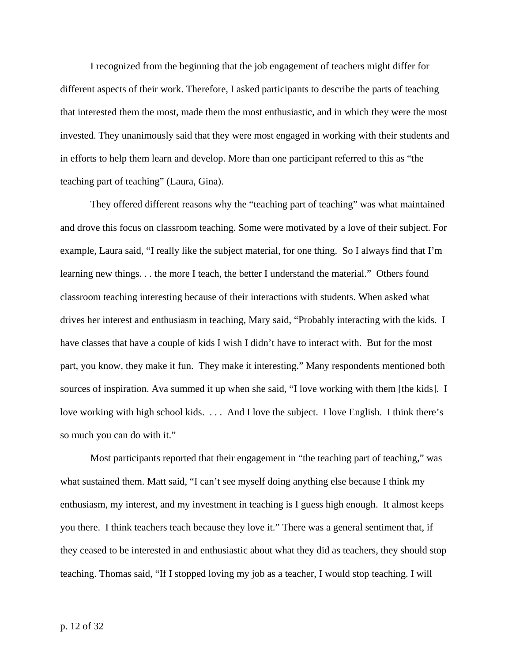I recognized from the beginning that the job engagement of teachers might differ for different aspects of their work. Therefore, I asked participants to describe the parts of teaching that interested them the most, made them the most enthusiastic, and in which they were the most invested. They unanimously said that they were most engaged in working with their students and in efforts to help them learn and develop. More than one participant referred to this as "the teaching part of teaching" (Laura, Gina).

 They offered different reasons why the "teaching part of teaching" was what maintained and drove this focus on classroom teaching. Some were motivated by a love of their subject. For example, Laura said, "I really like the subject material, for one thing. So I always find that I'm learning new things. . . the more I teach, the better I understand the material." Others found classroom teaching interesting because of their interactions with students. When asked what drives her interest and enthusiasm in teaching, Mary said, "Probably interacting with the kids. I have classes that have a couple of kids I wish I didn't have to interact with. But for the most part, you know, they make it fun. They make it interesting." Many respondents mentioned both sources of inspiration. Ava summed it up when she said, "I love working with them [the kids]. I love working with high school kids. . . . And I love the subject. I love English. I think there's so much you can do with it."

Most participants reported that their engagement in "the teaching part of teaching," was what sustained them. Matt said, "I can't see myself doing anything else because I think my enthusiasm, my interest, and my investment in teaching is I guess high enough. It almost keeps you there. I think teachers teach because they love it." There was a general sentiment that, if they ceased to be interested in and enthusiastic about what they did as teachers, they should stop teaching. Thomas said, "If I stopped loving my job as a teacher, I would stop teaching. I will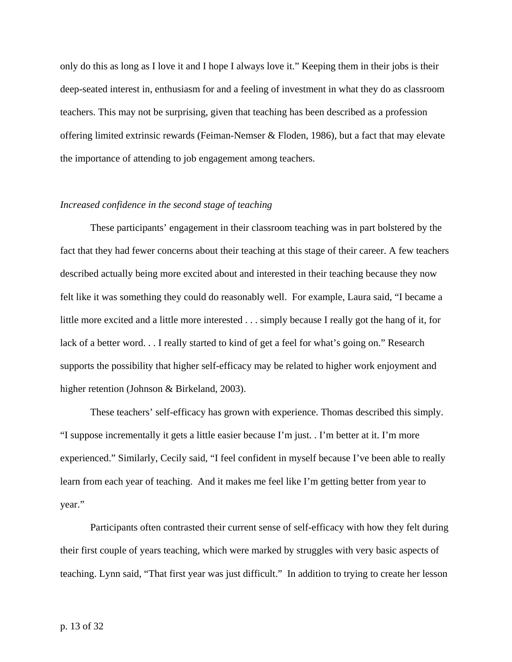only do this as long as I love it and I hope I always love it." Keeping them in their jobs is their deep-seated interest in, enthusiasm for and a feeling of investment in what they do as classroom teachers. This may not be surprising, given that teaching has been described as a profession offering limited extrinsic rewards (Feiman-Nemser & Floden, 1986), but a fact that may elevate the importance of attending to job engagement among teachers.

# *Increased confidence in the second stage of teaching*

 These participants' engagement in their classroom teaching was in part bolstered by the fact that they had fewer concerns about their teaching at this stage of their career. A few teachers described actually being more excited about and interested in their teaching because they now felt like it was something they could do reasonably well. For example, Laura said, "I became a little more excited and a little more interested . . . simply because I really got the hang of it, for lack of a better word. . . I really started to kind of get a feel for what's going on." Research supports the possibility that higher self-efficacy may be related to higher work enjoyment and higher retention (Johnson & Birkeland, 2003).

These teachers' self-efficacy has grown with experience. Thomas described this simply. "I suppose incrementally it gets a little easier because I'm just. . I'm better at it. I'm more experienced." Similarly, Cecily said, "I feel confident in myself because I've been able to really learn from each year of teaching. And it makes me feel like I'm getting better from year to year."

Participants often contrasted their current sense of self-efficacy with how they felt during their first couple of years teaching, which were marked by struggles with very basic aspects of teaching. Lynn said, "That first year was just difficult." In addition to trying to create her lesson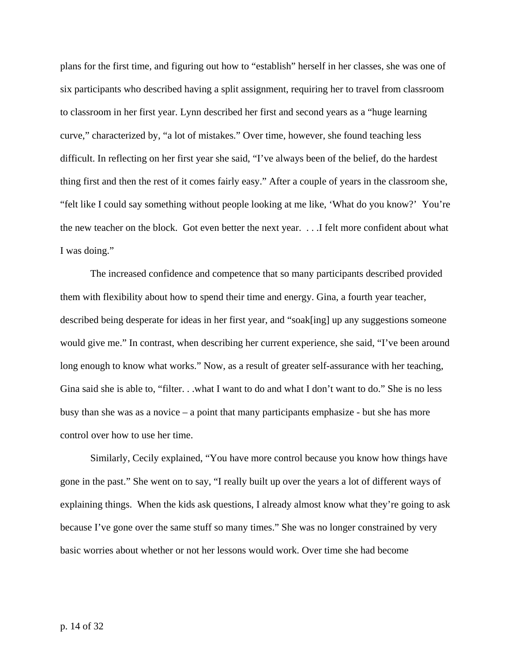plans for the first time, and figuring out how to "establish" herself in her classes, she was one of six participants who described having a split assignment, requiring her to travel from classroom to classroom in her first year. Lynn described her first and second years as a "huge learning curve," characterized by, "a lot of mistakes." Over time, however, she found teaching less difficult. In reflecting on her first year she said, "I've always been of the belief, do the hardest thing first and then the rest of it comes fairly easy." After a couple of years in the classroom she, "felt like I could say something without people looking at me like, 'What do you know?' You're the new teacher on the block. Got even better the next year. . . .I felt more confident about what I was doing."

 The increased confidence and competence that so many participants described provided them with flexibility about how to spend their time and energy. Gina, a fourth year teacher, described being desperate for ideas in her first year, and "soak[ing] up any suggestions someone would give me." In contrast, when describing her current experience, she said, "I've been around long enough to know what works." Now, as a result of greater self-assurance with her teaching, Gina said she is able to, "filter. . .what I want to do and what I don't want to do." She is no less busy than she was as a novice – a point that many participants emphasize - but she has more control over how to use her time.

 Similarly, Cecily explained, "You have more control because you know how things have gone in the past." She went on to say, "I really built up over the years a lot of different ways of explaining things. When the kids ask questions, I already almost know what they're going to ask because I've gone over the same stuff so many times." She was no longer constrained by very basic worries about whether or not her lessons would work. Over time she had become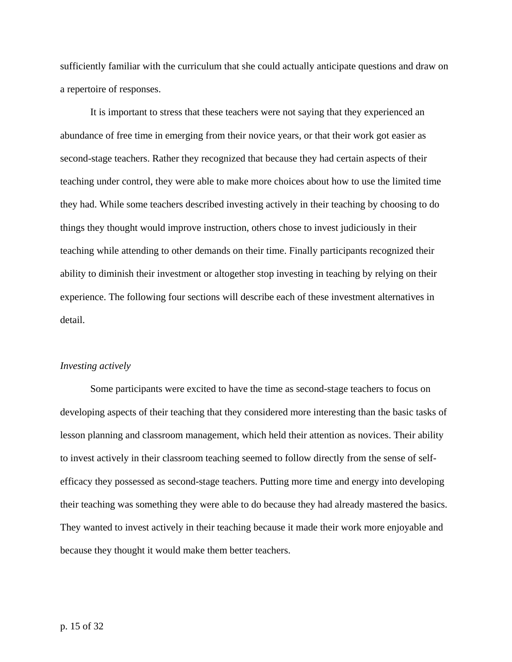sufficiently familiar with the curriculum that she could actually anticipate questions and draw on a repertoire of responses.

 It is important to stress that these teachers were not saying that they experienced an abundance of free time in emerging from their novice years, or that their work got easier as second-stage teachers. Rather they recognized that because they had certain aspects of their teaching under control, they were able to make more choices about how to use the limited time they had. While some teachers described investing actively in their teaching by choosing to do things they thought would improve instruction, others chose to invest judiciously in their teaching while attending to other demands on their time. Finally participants recognized their ability to diminish their investment or altogether stop investing in teaching by relying on their experience. The following four sections will describe each of these investment alternatives in detail.

#### *Investing actively*

 Some participants were excited to have the time as second-stage teachers to focus on developing aspects of their teaching that they considered more interesting than the basic tasks of lesson planning and classroom management, which held their attention as novices. Their ability to invest actively in their classroom teaching seemed to follow directly from the sense of selfefficacy they possessed as second-stage teachers. Putting more time and energy into developing their teaching was something they were able to do because they had already mastered the basics. They wanted to invest actively in their teaching because it made their work more enjoyable and because they thought it would make them better teachers.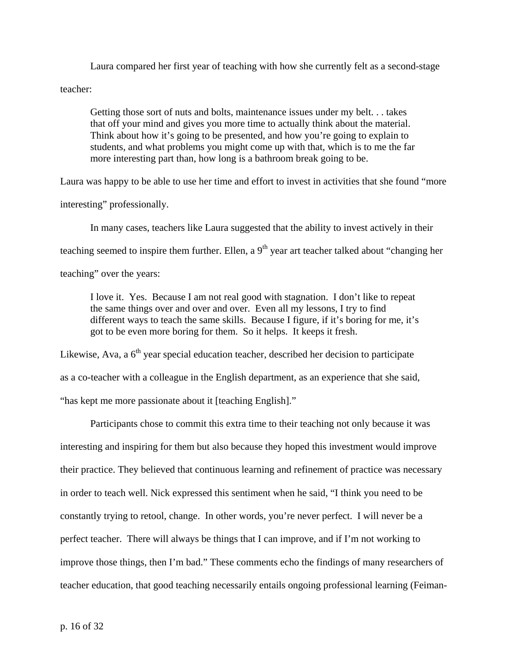Laura compared her first year of teaching with how she currently felt as a second-stage teacher:

Getting those sort of nuts and bolts, maintenance issues under my belt. . . takes that off your mind and gives you more time to actually think about the material. Think about how it's going to be presented, and how you're going to explain to students, and what problems you might come up with that, which is to me the far more interesting part than, how long is a bathroom break going to be.

Laura was happy to be able to use her time and effort to invest in activities that she found "more

interesting" professionally.

In many cases, teachers like Laura suggested that the ability to invest actively in their

teaching seemed to inspire them further. Ellen, a  $9<sup>th</sup>$  year art teacher talked about "changing her

teaching" over the years:

I love it. Yes. Because I am not real good with stagnation. I don't like to repeat the same things over and over and over. Even all my lessons, I try to find different ways to teach the same skills. Because I figure, if it's boring for me, it's got to be even more boring for them. So it helps. It keeps it fresh.

Likewise, Ava, a  $6<sup>th</sup>$  year special education teacher, described her decision to participate as a co-teacher with a colleague in the English department, as an experience that she said, "has kept me more passionate about it [teaching English]."

 Participants chose to commit this extra time to their teaching not only because it was interesting and inspiring for them but also because they hoped this investment would improve their practice. They believed that continuous learning and refinement of practice was necessary in order to teach well. Nick expressed this sentiment when he said, "I think you need to be constantly trying to retool, change. In other words, you're never perfect. I will never be a perfect teacher. There will always be things that I can improve, and if I'm not working to improve those things, then I'm bad." These comments echo the findings of many researchers of teacher education, that good teaching necessarily entails ongoing professional learning (Feiman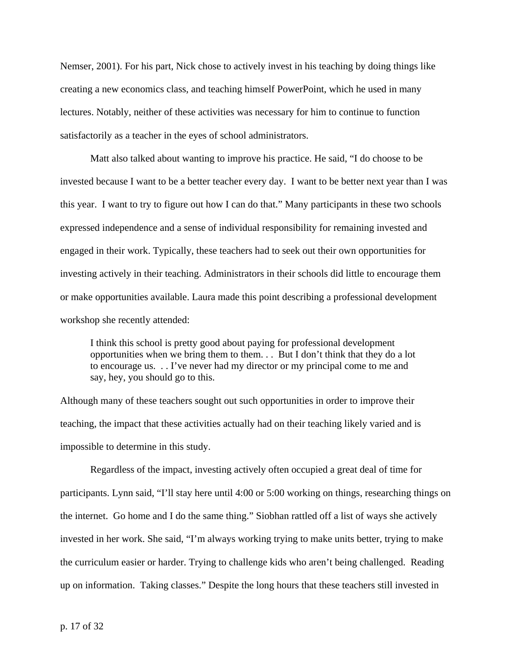Nemser, 2001). For his part, Nick chose to actively invest in his teaching by doing things like creating a new economics class, and teaching himself PowerPoint, which he used in many lectures. Notably, neither of these activities was necessary for him to continue to function satisfactorily as a teacher in the eyes of school administrators.

Matt also talked about wanting to improve his practice. He said, "I do choose to be invested because I want to be a better teacher every day. I want to be better next year than I was this year. I want to try to figure out how I can do that." Many participants in these two schools expressed independence and a sense of individual responsibility for remaining invested and engaged in their work. Typically, these teachers had to seek out their own opportunities for investing actively in their teaching. Administrators in their schools did little to encourage them or make opportunities available. Laura made this point describing a professional development workshop she recently attended:

I think this school is pretty good about paying for professional development opportunities when we bring them to them. . . But I don't think that they do a lot to encourage us. . . I've never had my director or my principal come to me and say, hey, you should go to this.

Although many of these teachers sought out such opportunities in order to improve their teaching, the impact that these activities actually had on their teaching likely varied and is impossible to determine in this study.

 Regardless of the impact, investing actively often occupied a great deal of time for participants. Lynn said, "I'll stay here until 4:00 or 5:00 working on things, researching things on the internet. Go home and I do the same thing." Siobhan rattled off a list of ways she actively invested in her work. She said, "I'm always working trying to make units better, trying to make the curriculum easier or harder. Trying to challenge kids who aren't being challenged. Reading up on information. Taking classes." Despite the long hours that these teachers still invested in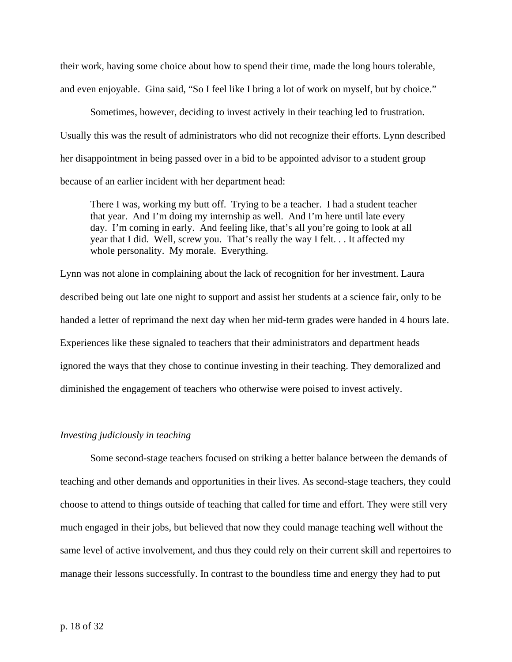their work, having some choice about how to spend their time, made the long hours tolerable, and even enjoyable. Gina said, "So I feel like I bring a lot of work on myself, but by choice."

 Sometimes, however, deciding to invest actively in their teaching led to frustration. Usually this was the result of administrators who did not recognize their efforts. Lynn described her disappointment in being passed over in a bid to be appointed advisor to a student group because of an earlier incident with her department head:

There I was, working my butt off. Trying to be a teacher. I had a student teacher that year. And I'm doing my internship as well. And I'm here until late every day. I'm coming in early. And feeling like, that's all you're going to look at all year that I did. Well, screw you. That's really the way I felt. . . It affected my whole personality. My morale. Everything.

Lynn was not alone in complaining about the lack of recognition for her investment. Laura described being out late one night to support and assist her students at a science fair, only to be handed a letter of reprimand the next day when her mid-term grades were handed in 4 hours late. Experiences like these signaled to teachers that their administrators and department heads ignored the ways that they chose to continue investing in their teaching. They demoralized and diminished the engagement of teachers who otherwise were poised to invest actively.

### *Investing judiciously in teaching*

 Some second-stage teachers focused on striking a better balance between the demands of teaching and other demands and opportunities in their lives. As second-stage teachers, they could choose to attend to things outside of teaching that called for time and effort. They were still very much engaged in their jobs, but believed that now they could manage teaching well without the same level of active involvement, and thus they could rely on their current skill and repertoires to manage their lessons successfully. In contrast to the boundless time and energy they had to put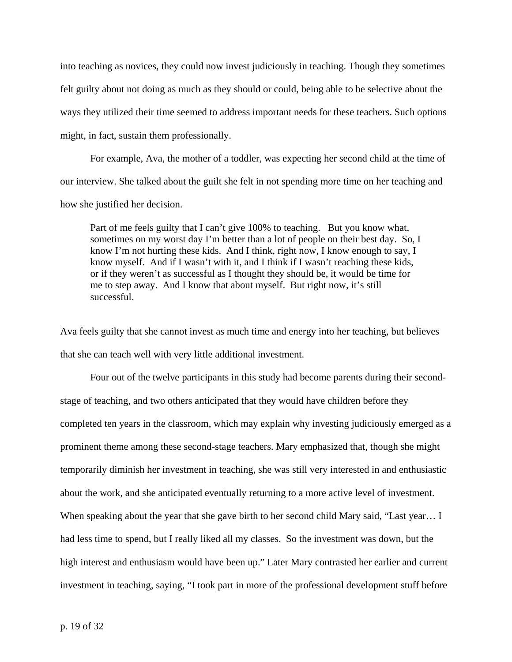into teaching as novices, they could now invest judiciously in teaching. Though they sometimes felt guilty about not doing as much as they should or could, being able to be selective about the ways they utilized their time seemed to address important needs for these teachers. Such options might, in fact, sustain them professionally.

 For example, Ava, the mother of a toddler, was expecting her second child at the time of our interview. She talked about the guilt she felt in not spending more time on her teaching and how she justified her decision.

Part of me feels guilty that I can't give 100% to teaching. But you know what, sometimes on my worst day I'm better than a lot of people on their best day. So, I know I'm not hurting these kids. And I think, right now, I know enough to say, I know myself. And if I wasn't with it, and I think if I wasn't reaching these kids, or if they weren't as successful as I thought they should be, it would be time for me to step away. And I know that about myself. But right now, it's still successful.

Ava feels guilty that she cannot invest as much time and energy into her teaching, but believes that she can teach well with very little additional investment.

Four out of the twelve participants in this study had become parents during their secondstage of teaching, and two others anticipated that they would have children before they completed ten years in the classroom, which may explain why investing judiciously emerged as a prominent theme among these second-stage teachers. Mary emphasized that, though she might temporarily diminish her investment in teaching, she was still very interested in and enthusiastic about the work, and she anticipated eventually returning to a more active level of investment. When speaking about the year that she gave birth to her second child Mary said, "Last year… I had less time to spend, but I really liked all my classes. So the investment was down, but the high interest and enthusiasm would have been up." Later Mary contrasted her earlier and current investment in teaching, saying, "I took part in more of the professional development stuff before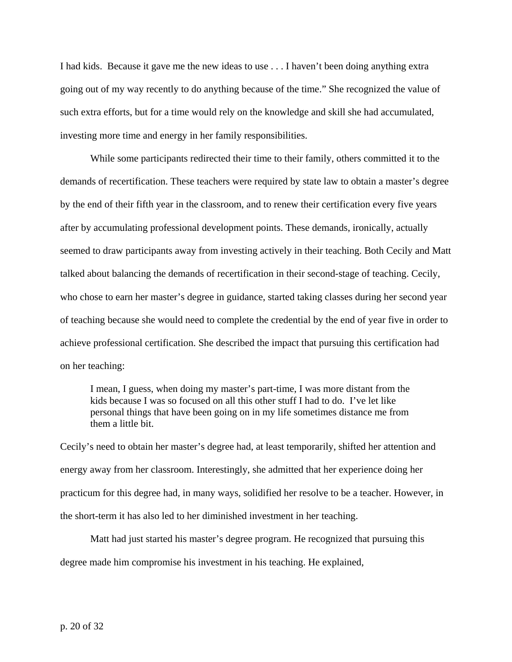I had kids. Because it gave me the new ideas to use . . . I haven't been doing anything extra going out of my way recently to do anything because of the time." She recognized the value of such extra efforts, but for a time would rely on the knowledge and skill she had accumulated, investing more time and energy in her family responsibilities.

 While some participants redirected their time to their family, others committed it to the demands of recertification. These teachers were required by state law to obtain a master's degree by the end of their fifth year in the classroom, and to renew their certification every five years after by accumulating professional development points. These demands, ironically, actually seemed to draw participants away from investing actively in their teaching. Both Cecily and Matt talked about balancing the demands of recertification in their second-stage of teaching. Cecily, who chose to earn her master's degree in guidance, started taking classes during her second year of teaching because she would need to complete the credential by the end of year five in order to achieve professional certification. She described the impact that pursuing this certification had on her teaching:

I mean, I guess, when doing my master's part-time, I was more distant from the kids because I was so focused on all this other stuff I had to do. I've let like personal things that have been going on in my life sometimes distance me from them a little bit.

Cecily's need to obtain her master's degree had, at least temporarily, shifted her attention and energy away from her classroom. Interestingly, she admitted that her experience doing her practicum for this degree had, in many ways, solidified her resolve to be a teacher. However, in the short-term it has also led to her diminished investment in her teaching.

 Matt had just started his master's degree program. He recognized that pursuing this degree made him compromise his investment in his teaching. He explained,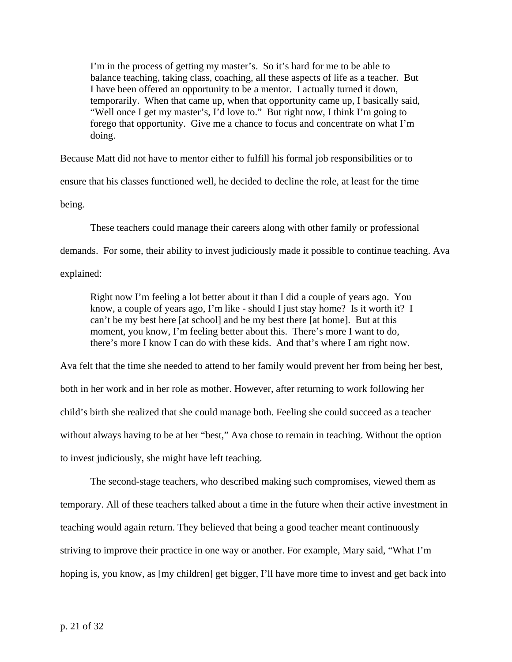I'm in the process of getting my master's. So it's hard for me to be able to balance teaching, taking class, coaching, all these aspects of life as a teacher. But I have been offered an opportunity to be a mentor. I actually turned it down, temporarily. When that came up, when that opportunity came up, I basically said, "Well once I get my master's, I'd love to." But right now, I think I'm going to forego that opportunity. Give me a chance to focus and concentrate on what I'm doing.

Because Matt did not have to mentor either to fulfill his formal job responsibilities or to

ensure that his classes functioned well, he decided to decline the role, at least for the time

being.

 These teachers could manage their careers along with other family or professional demands. For some, their ability to invest judiciously made it possible to continue teaching. Ava explained:

Right now I'm feeling a lot better about it than I did a couple of years ago. You know, a couple of years ago, I'm like - should I just stay home? Is it worth it? I can't be my best here [at school] and be my best there [at home]. But at this moment, you know, I'm feeling better about this. There's more I want to do, there's more I know I can do with these kids. And that's where I am right now.

Ava felt that the time she needed to attend to her family would prevent her from being her best, both in her work and in her role as mother. However, after returning to work following her child's birth she realized that she could manage both. Feeling she could succeed as a teacher without always having to be at her "best," Ava chose to remain in teaching. Without the option to invest judiciously, she might have left teaching.

 The second-stage teachers, who described making such compromises, viewed them as temporary. All of these teachers talked about a time in the future when their active investment in teaching would again return. They believed that being a good teacher meant continuously striving to improve their practice in one way or another. For example, Mary said, "What I'm hoping is, you know, as [my children] get bigger, I'll have more time to invest and get back into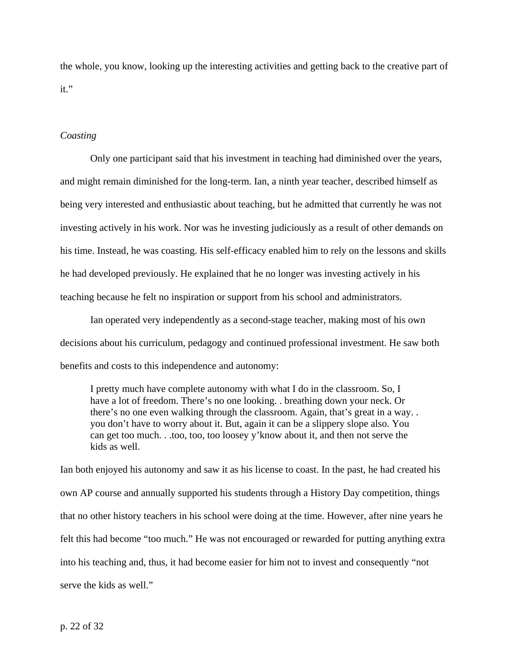the whole, you know, looking up the interesting activities and getting back to the creative part of it."

# *Coasting*

 Only one participant said that his investment in teaching had diminished over the years, and might remain diminished for the long-term. Ian, a ninth year teacher, described himself as being very interested and enthusiastic about teaching, but he admitted that currently he was not investing actively in his work. Nor was he investing judiciously as a result of other demands on his time. Instead, he was coasting. His self-efficacy enabled him to rely on the lessons and skills he had developed previously. He explained that he no longer was investing actively in his teaching because he felt no inspiration or support from his school and administrators.

 Ian operated very independently as a second-stage teacher, making most of his own decisions about his curriculum, pedagogy and continued professional investment. He saw both benefits and costs to this independence and autonomy:

I pretty much have complete autonomy with what I do in the classroom. So, I have a lot of freedom. There's no one looking. . breathing down your neck. Or there's no one even walking through the classroom. Again, that's great in a way. . you don't have to worry about it. But, again it can be a slippery slope also. You can get too much. . .too, too, too loosey y'know about it, and then not serve the kids as well.

Ian both enjoyed his autonomy and saw it as his license to coast. In the past, he had created his own AP course and annually supported his students through a History Day competition, things that no other history teachers in his school were doing at the time. However, after nine years he felt this had become "too much." He was not encouraged or rewarded for putting anything extra into his teaching and, thus, it had become easier for him not to invest and consequently "not serve the kids as well."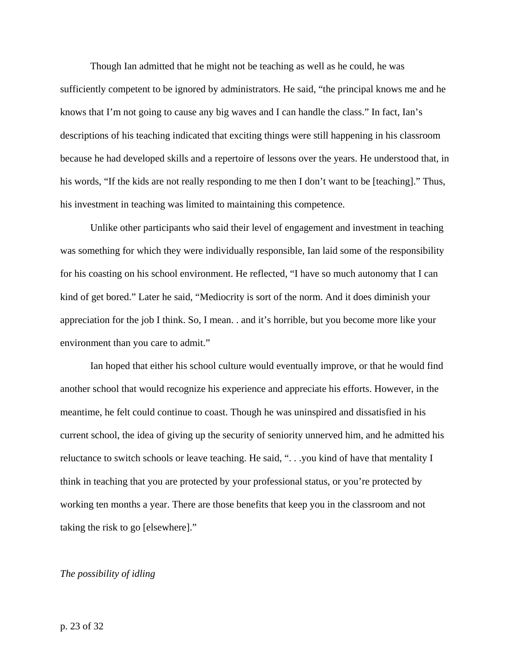Though Ian admitted that he might not be teaching as well as he could, he was sufficiently competent to be ignored by administrators. He said, "the principal knows me and he knows that I'm not going to cause any big waves and I can handle the class." In fact, Ian's descriptions of his teaching indicated that exciting things were still happening in his classroom because he had developed skills and a repertoire of lessons over the years. He understood that, in his words, "If the kids are not really responding to me then I don't want to be [teaching]." Thus, his investment in teaching was limited to maintaining this competence.

 Unlike other participants who said their level of engagement and investment in teaching was something for which they were individually responsible, Ian laid some of the responsibility for his coasting on his school environment. He reflected, "I have so much autonomy that I can kind of get bored." Later he said, "Mediocrity is sort of the norm. And it does diminish your appreciation for the job I think. So, I mean. . and it's horrible, but you become more like your environment than you care to admit."

Ian hoped that either his school culture would eventually improve, or that he would find another school that would recognize his experience and appreciate his efforts. However, in the meantime, he felt could continue to coast. Though he was uninspired and dissatisfied in his current school, the idea of giving up the security of seniority unnerved him, and he admitted his reluctance to switch schools or leave teaching. He said, ". . .you kind of have that mentality I think in teaching that you are protected by your professional status, or you're protected by working ten months a year. There are those benefits that keep you in the classroom and not taking the risk to go [elsewhere]."

#### *The possibility of idling*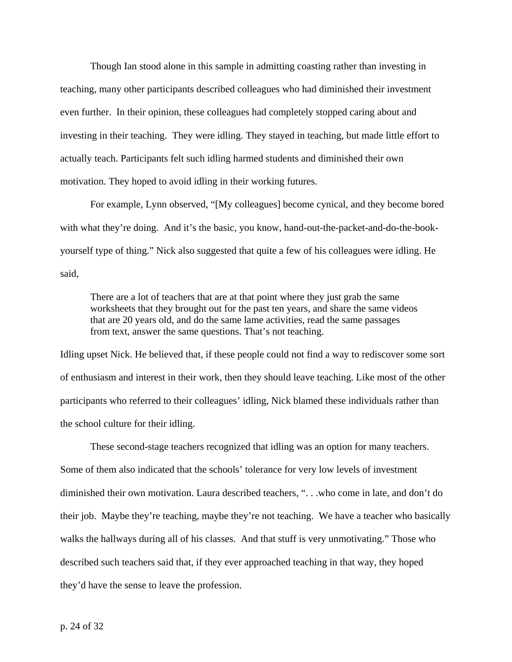Though Ian stood alone in this sample in admitting coasting rather than investing in teaching, many other participants described colleagues who had diminished their investment even further. In their opinion, these colleagues had completely stopped caring about and investing in their teaching. They were idling. They stayed in teaching, but made little effort to actually teach. Participants felt such idling harmed students and diminished their own motivation. They hoped to avoid idling in their working futures.

For example, Lynn observed, "[My colleagues] become cynical, and they become bored with what they're doing. And it's the basic, you know, hand-out-the-packet-and-do-the-bookyourself type of thing." Nick also suggested that quite a few of his colleagues were idling. He said,

There are a lot of teachers that are at that point where they just grab the same worksheets that they brought out for the past ten years, and share the same videos that are 20 years old, and do the same lame activities, read the same passages from text, answer the same questions. That's not teaching.

Idling upset Nick. He believed that, if these people could not find a way to rediscover some sort of enthusiasm and interest in their work, then they should leave teaching. Like most of the other participants who referred to their colleagues' idling, Nick blamed these individuals rather than the school culture for their idling.

These second-stage teachers recognized that idling was an option for many teachers. Some of them also indicated that the schools' tolerance for very low levels of investment diminished their own motivation. Laura described teachers, ". . .who come in late, and don't do their job. Maybe they're teaching, maybe they're not teaching. We have a teacher who basically walks the hallways during all of his classes. And that stuff is very unmotivating." Those who described such teachers said that, if they ever approached teaching in that way, they hoped they'd have the sense to leave the profession.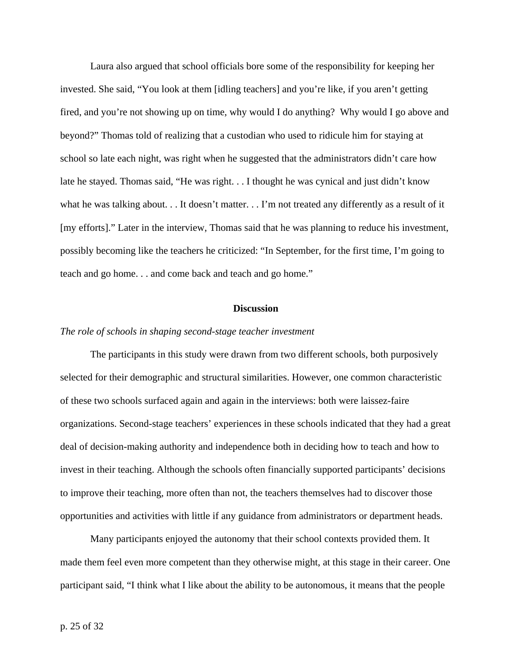Laura also argued that school officials bore some of the responsibility for keeping her invested. She said, "You look at them [idling teachers] and you're like, if you aren't getting fired, and you're not showing up on time, why would I do anything? Why would I go above and beyond?" Thomas told of realizing that a custodian who used to ridicule him for staying at school so late each night, was right when he suggested that the administrators didn't care how late he stayed. Thomas said, "He was right. . . I thought he was cynical and just didn't know what he was talking about. . . It doesn't matter. . . I'm not treated any differently as a result of it [my efforts]." Later in the interview, Thomas said that he was planning to reduce his investment, possibly becoming like the teachers he criticized: "In September, for the first time, I'm going to teach and go home. . . and come back and teach and go home."

# **Discussion**

# *The role of schools in shaping second-stage teacher investment*

The participants in this study were drawn from two different schools, both purposively selected for their demographic and structural similarities. However, one common characteristic of these two schools surfaced again and again in the interviews: both were laissez-faire organizations. Second-stage teachers' experiences in these schools indicated that they had a great deal of decision-making authority and independence both in deciding how to teach and how to invest in their teaching. Although the schools often financially supported participants' decisions to improve their teaching, more often than not, the teachers themselves had to discover those opportunities and activities with little if any guidance from administrators or department heads.

 Many participants enjoyed the autonomy that their school contexts provided them. It made them feel even more competent than they otherwise might, at this stage in their career. One participant said, "I think what I like about the ability to be autonomous, it means that the people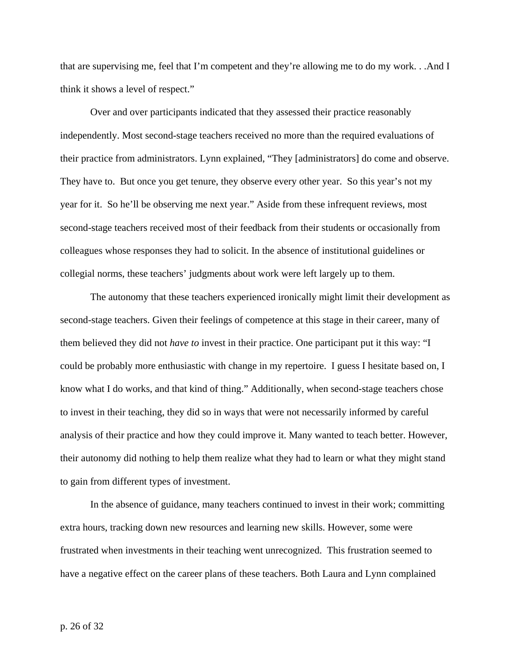that are supervising me, feel that I'm competent and they're allowing me to do my work. . .And I think it shows a level of respect."

Over and over participants indicated that they assessed their practice reasonably independently. Most second-stage teachers received no more than the required evaluations of their practice from administrators. Lynn explained, "They [administrators] do come and observe. They have to. But once you get tenure, they observe every other year. So this year's not my year for it. So he'll be observing me next year." Aside from these infrequent reviews, most second-stage teachers received most of their feedback from their students or occasionally from colleagues whose responses they had to solicit. In the absence of institutional guidelines or collegial norms, these teachers' judgments about work were left largely up to them.

 The autonomy that these teachers experienced ironically might limit their development as second-stage teachers. Given their feelings of competence at this stage in their career, many of them believed they did not *have to* invest in their practice. One participant put it this way: "I could be probably more enthusiastic with change in my repertoire. I guess I hesitate based on, I know what I do works, and that kind of thing." Additionally, when second-stage teachers chose to invest in their teaching, they did so in ways that were not necessarily informed by careful analysis of their practice and how they could improve it. Many wanted to teach better. However, their autonomy did nothing to help them realize what they had to learn or what they might stand to gain from different types of investment.

 In the absence of guidance, many teachers continued to invest in their work; committing extra hours, tracking down new resources and learning new skills. However, some were frustrated when investments in their teaching went unrecognized. This frustration seemed to have a negative effect on the career plans of these teachers. Both Laura and Lynn complained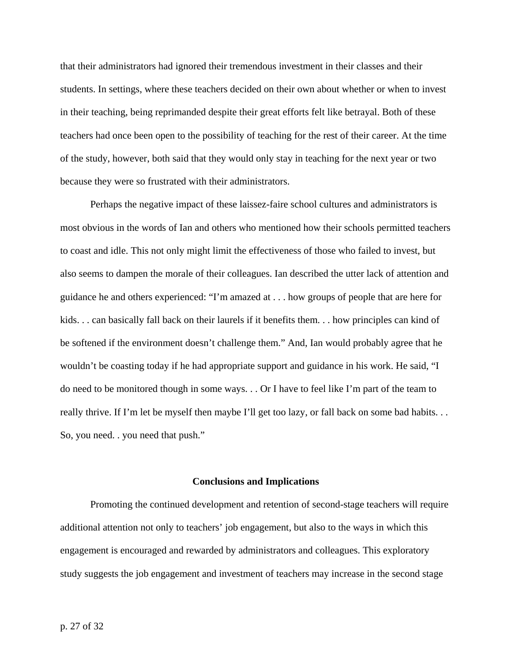that their administrators had ignored their tremendous investment in their classes and their students. In settings, where these teachers decided on their own about whether or when to invest in their teaching, being reprimanded despite their great efforts felt like betrayal. Both of these teachers had once been open to the possibility of teaching for the rest of their career. At the time of the study, however, both said that they would only stay in teaching for the next year or two because they were so frustrated with their administrators.

Perhaps the negative impact of these laissez-faire school cultures and administrators is most obvious in the words of Ian and others who mentioned how their schools permitted teachers to coast and idle. This not only might limit the effectiveness of those who failed to invest, but also seems to dampen the morale of their colleagues. Ian described the utter lack of attention and guidance he and others experienced: "I'm amazed at . . . how groups of people that are here for kids. . . can basically fall back on their laurels if it benefits them. . . how principles can kind of be softened if the environment doesn't challenge them." And, Ian would probably agree that he wouldn't be coasting today if he had appropriate support and guidance in his work. He said, "I do need to be monitored though in some ways. . . Or I have to feel like I'm part of the team to really thrive. If I'm let be myself then maybe I'll get too lazy, or fall back on some bad habits. . . So, you need. . you need that push."

#### **Conclusions and Implications**

 Promoting the continued development and retention of second-stage teachers will require additional attention not only to teachers' job engagement, but also to the ways in which this engagement is encouraged and rewarded by administrators and colleagues. This exploratory study suggests the job engagement and investment of teachers may increase in the second stage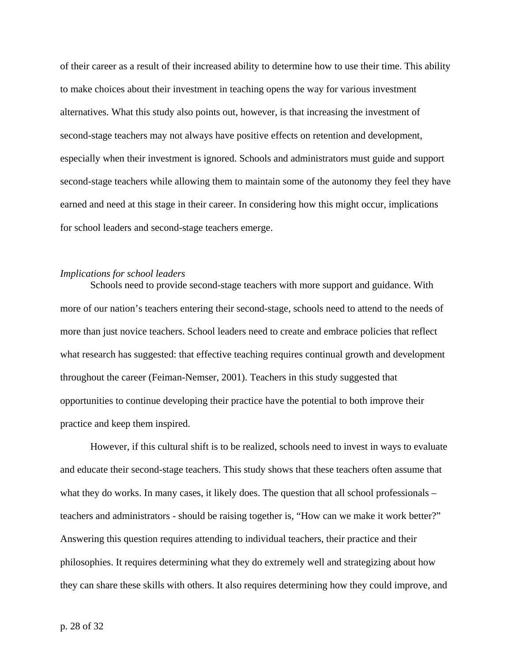of their career as a result of their increased ability to determine how to use their time. This ability to make choices about their investment in teaching opens the way for various investment alternatives. What this study also points out, however, is that increasing the investment of second-stage teachers may not always have positive effects on retention and development, especially when their investment is ignored. Schools and administrators must guide and support second-stage teachers while allowing them to maintain some of the autonomy they feel they have earned and need at this stage in their career. In considering how this might occur, implications for school leaders and second-stage teachers emerge.

# *Implications for school leaders*

 Schools need to provide second-stage teachers with more support and guidance. With more of our nation's teachers entering their second-stage, schools need to attend to the needs of more than just novice teachers. School leaders need to create and embrace policies that reflect what research has suggested: that effective teaching requires continual growth and development throughout the career (Feiman-Nemser, 2001). Teachers in this study suggested that opportunities to continue developing their practice have the potential to both improve their practice and keep them inspired.

However, if this cultural shift is to be realized, schools need to invest in ways to evaluate and educate their second-stage teachers. This study shows that these teachers often assume that what they do works. In many cases, it likely does. The question that all school professionals – teachers and administrators - should be raising together is, "How can we make it work better?" Answering this question requires attending to individual teachers, their practice and their philosophies. It requires determining what they do extremely well and strategizing about how they can share these skills with others. It also requires determining how they could improve, and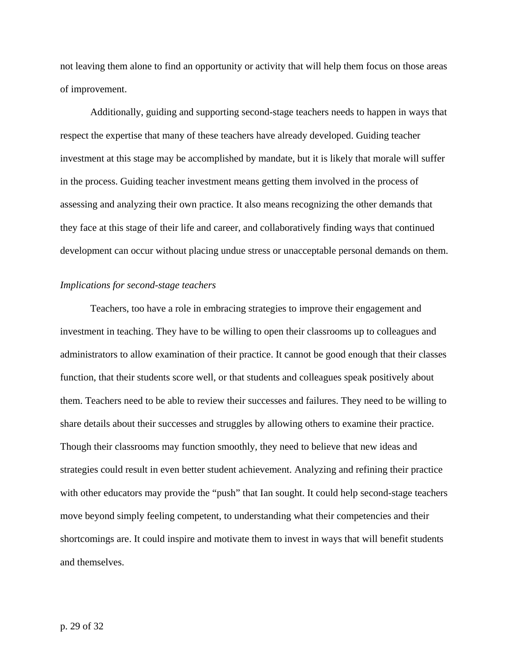not leaving them alone to find an opportunity or activity that will help them focus on those areas of improvement.

Additionally, guiding and supporting second-stage teachers needs to happen in ways that respect the expertise that many of these teachers have already developed. Guiding teacher investment at this stage may be accomplished by mandate, but it is likely that morale will suffer in the process. Guiding teacher investment means getting them involved in the process of assessing and analyzing their own practice. It also means recognizing the other demands that they face at this stage of their life and career, and collaboratively finding ways that continued development can occur without placing undue stress or unacceptable personal demands on them.

## *Implications for second-stage teachers*

 Teachers, too have a role in embracing strategies to improve their engagement and investment in teaching. They have to be willing to open their classrooms up to colleagues and administrators to allow examination of their practice. It cannot be good enough that their classes function, that their students score well, or that students and colleagues speak positively about them. Teachers need to be able to review their successes and failures. They need to be willing to share details about their successes and struggles by allowing others to examine their practice. Though their classrooms may function smoothly, they need to believe that new ideas and strategies could result in even better student achievement. Analyzing and refining their practice with other educators may provide the "push" that Ian sought. It could help second-stage teachers move beyond simply feeling competent, to understanding what their competencies and their shortcomings are. It could inspire and motivate them to invest in ways that will benefit students and themselves.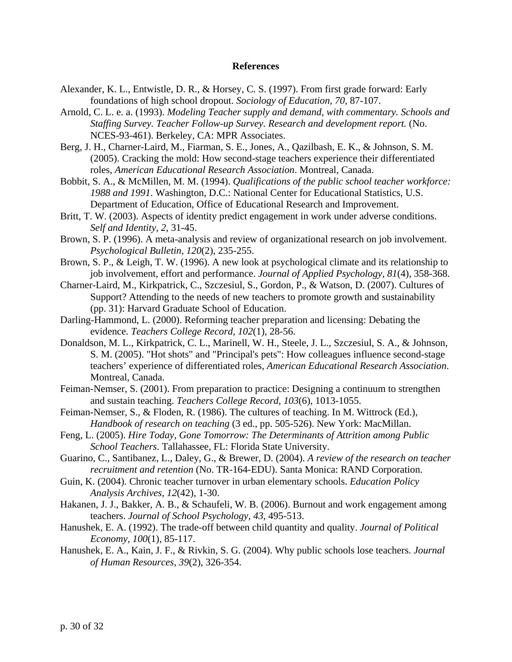### **References**

- Alexander, K. L., Entwistle, D. R., & Horsey, C. S. (1997). From first grade forward: Early foundations of high school dropout. *Sociology of Education, 70*, 87-107.
- Arnold, C. L. e. a. (1993). *Modeling Teacher supply and demand, with commentary. Schools and Staffing Survey. Teacher Follow-up Survey. Research and development report.* (No. NCES-93-461). Berkeley, CA: MPR Associates.
- Berg, J. H., Charner-Laird, M., Fiarman, S. E., Jones, A., Qazilbash, E. K., & Johnson, S. M. (2005). Cracking the mold: How second-stage teachers experience their differentiated roles, *American Educational Research Association*. Montreal, Canada.
- Bobbit, S. A., & McMillen, M. M. (1994). *Qualifications of the public school teacher workforce: 1988 and 1991*. Washington, D.C.: National Center for Educational Statistics, U.S. Department of Education, Office of Educational Research and Improvement.
- Britt, T. W. (2003). Aspects of identity predict engagement in work under adverse conditions. *Self and Identity, 2*, 31-45.
- Brown, S. P. (1996). A meta-analysis and review of organizational research on job involvement. *Psychological Bulletin, 120*(2), 235-255.
- Brown, S. P., & Leigh, T. W. (1996). A new look at psychological climate and its relationship to job involvement, effort and performance. *Journal of Applied Psychology, 81*(4), 358-368.
- Charner-Laird, M., Kirkpatrick, C., Szczesiul, S., Gordon, P., & Watson, D. (2007). Cultures of Support? Attending to the needs of new teachers to promote growth and sustainability (pp. 31): Harvard Graduate School of Education.
- Darling-Hammond, L. (2000). Reforming teacher preparation and licensing: Debating the evidence. *Teachers College Record, 102*(1), 28-56.
- Donaldson, M. L., Kirkpatrick, C. L., Marinell, W. H., Steele, J. L., Szczesiul, S. A., & Johnson, S. M. (2005). "Hot shots" and "Principal's pets": How colleagues influence second-stage teachers' experience of differentiated roles, *American Educational Research Association*. Montreal, Canada.
- Feiman-Nemser, S. (2001). From preparation to practice: Designing a continuum to strengthen and sustain teaching. *Teachers College Record, 103*(6), 1013-1055.
- Feiman-Nemser, S., & Floden, R. (1986). The cultures of teaching. In M. Wittrock (Ed.), *Handbook of research on teaching* (3 ed., pp. 505-526). New York: MacMillan.
- Feng, L. (2005). *Hire Today, Gone Tomorrow: The Determinants of Attrition among Public School Teachers*. Tallahassee, FL: Florida State University.
- Guarino, C., Santibanez, L., Daley, G., & Brewer, D. (2004). *A review of the research on teacher recruitment and retention* (No. TR-164-EDU). Santa Monica: RAND Corporation.
- Guin, K. (2004). Chronic teacher turnover in urban elementary schools. *Education Policy Analysis Archives, 12*(42), 1-30.
- Hakanen, J. J., Bakker, A. B., & Schaufeli, W. B. (2006). Burnout and work engagement among teachers. *Journal of School Psychology, 43*, 495-513.
- Hanushek, E. A. (1992). The trade-off between child quantity and quality. *Journal of Political Economy, 100*(1), 85-117.
- Hanushek, E. A., Kain, J. F., & Rivkin, S. G. (2004). Why public schools lose teachers. *Journal of Human Resources, 39*(2), 326-354.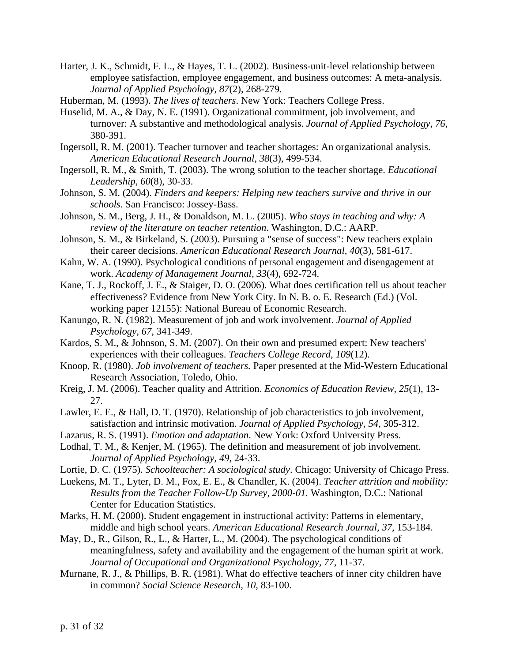Harter, J. K., Schmidt, F. L., & Hayes, T. L. (2002). Business-unit-level relationship between employee satisfaction, employee engagement, and business outcomes: A meta-analysis. *Journal of Applied Psychology, 87*(2), 268-279.

Huberman, M. (1993). *The lives of teachers*. New York: Teachers College Press.

- Huselid, M. A., & Day, N. E. (1991). Organizational commitment, job involvement, and turnover: A substantive and methodological analysis. *Journal of Applied Psychology, 76*, 380-391.
- Ingersoll, R. M. (2001). Teacher turnover and teacher shortages: An organizational analysis. *American Educational Research Journal, 38*(3), 499-534.
- Ingersoll, R. M., & Smith, T. (2003). The wrong solution to the teacher shortage. *Educational Leadership, 60*(8), 30-33.
- Johnson, S. M. (2004). *Finders and keepers: Helping new teachers survive and thrive in our schools*. San Francisco: Jossey-Bass.
- Johnson, S. M., Berg, J. H., & Donaldson, M. L. (2005). *Who stays in teaching and why: A review of the literature on teacher retention*. Washington, D.C.: AARP.
- Johnson, S. M., & Birkeland, S. (2003). Pursuing a "sense of success": New teachers explain their career decisions. *American Educational Research Journal, 40*(3), 581-617.
- Kahn, W. A. (1990). Psychological conditions of personal engagement and disengagement at work. *Academy of Management Journal, 33*(4), 692-724.
- Kane, T. J., Rockoff, J. E., & Staiger, D. O. (2006). What does certification tell us about teacher effectiveness? Evidence from New York City. In N. B. o. E. Research (Ed.) (Vol. working paper 12155): National Bureau of Economic Research.
- Kanungo, R. N. (1982). Measurement of job and work involvement. *Journal of Applied Psychology, 67*, 341-349.
- Kardos, S. M., & Johnson, S. M. (2007). On their own and presumed expert: New teachers' experiences with their colleagues. *Teachers College Record, 109*(12).
- Knoop, R. (1980). *Job involvement of teachers.* Paper presented at the Mid-Western Educational Research Association, Toledo, Ohio.
- Kreig, J. M. (2006). Teacher quality and Attrition. *Economics of Education Review, 25*(1), 13- 27.
- Lawler, E. E., & Hall, D. T. (1970). Relationship of job characteristics to job involvement, satisfaction and intrinsic motivation. *Journal of Applied Psychology, 54*, 305-312.
- Lazarus, R. S. (1991). *Emotion and adaptation*. New York: Oxford University Press.
- Lodhal, T. M., & Kenjer, M. (1965). The definition and measurement of job involvement. *Journal of Applied Psychology, 49*, 24-33.
- Lortie, D. C. (1975). *Schoolteacher: A sociological study*. Chicago: University of Chicago Press.
- Luekens, M. T., Lyter, D. M., Fox, E. E., & Chandler, K. (2004). *Teacher attrition and mobility: Results from the Teacher Follow-Up Survey, 2000-01.* Washington, D.C.: National Center for Education Statistics.
- Marks, H. M. (2000). Student engagement in instructional activity: Patterns in elementary, middle and high school years. *American Educational Research Journal, 37*, 153-184.
- May, D., R., Gilson, R., L., & Harter, L., M. (2004). The psychological conditions of meaningfulness, safety and availability and the engagement of the human spirit at work. *Journal of Occupational and Organizational Psychology, 77*, 11-37.
- Murnane, R. J., & Phillips, B. R. (1981). What do effective teachers of inner city children have in common? *Social Science Research, 10*, 83-100.